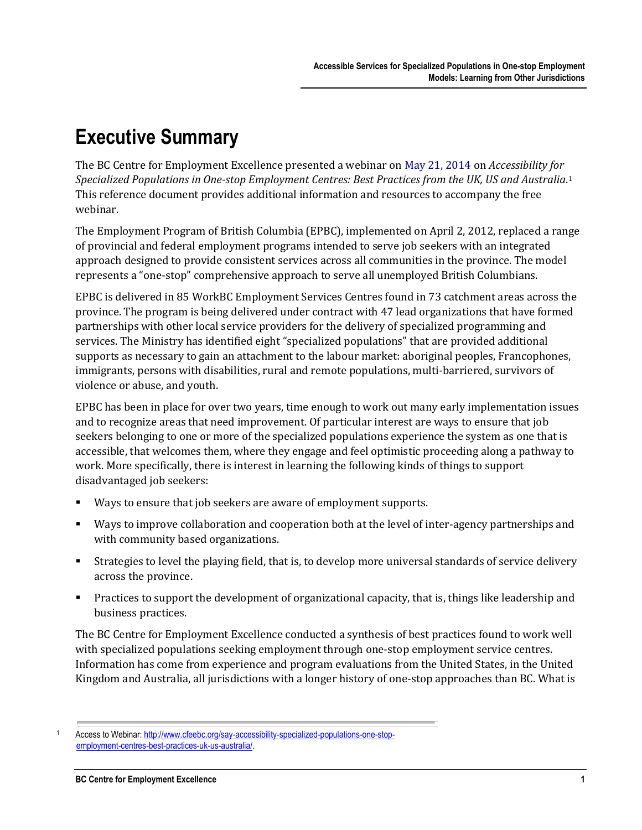## **Executive Summary**

The BC Centre for Employment Excellence presented a webinar on May 21, 2014 on *Accessibility for Specialized Populations in One-stop Employment Centres: Best Practices from the UK, US and Australia*. 1 This reference document provides additional information and resources to accompany the free webinar.

The Employment Program of British Columbia (EPBC), implemented on April 2, 2012, replaced a range of provincial and federal employment programs intended to serve job seekers with an integrated approach designed to provide consistent services across all communities in the province. The model represents a "one-stop" comprehensive approach to serve all unemployed British Columbians.

EPBC is delivered in 85 WorkBC Employment Services Centres found in 73 catchment areas across the province. The program is being delivered under contract with 47 lead organizations that have formed partnerships with other local service providers for the delivery of specialized programming and services. The Ministry has identified eight "specialized populations" that are provided additional supports as necessary to gain an attachment to the labour market: aboriginal peoples, Francophones, immigrants, persons with disabilities, rural and remote populations, multi-barriered, survivors of violence or abuse, and youth.

EPBC has been in place for over two years, time enough to work out many early implementation issues and to recognize areas that need improvement. Of particular interest are ways to ensure that job seekers belonging to one or more of the specialized populations experience the system as one that is accessible, that welcomes them, where they engage and feel optimistic proceeding along a pathway to work. More specifically, there is interest in learning the following kinds of things to support disadvantaged job seekers:

- Ways to ensure that job seekers are aware of employment supports.
- Ways to improve collaboration and cooperation both at the level of inter-agency partnerships and with community based organizations.
- Strategies to level the playing field, that is, to develop more universal standards of service delivery across the province.
- Practices to support the development of organizational capacity, that is, things like leadership and business practices.

The BC Centre for Employment Excellence conducted a synthesis of best practices found to work well with specialized populations seeking employment through one-stop employment service centres. Information has come from experience and program evaluations from the United States, in the United Kingdom and Australia, all jurisdictions with a longer history of one-stop approaches than BC. What is

Access to Webinar[: http://www.cfeebc.org/say-accessibility-specialized-populations-one-stop](http://www.cfeebc.org/say-accessibility-specialized-populations-one-stop-employment-centres-best-practices-uk-us-australia/)[employment-centres-best-practices-uk-us-australia/.](http://www.cfeebc.org/say-accessibility-specialized-populations-one-stop-employment-centres-best-practices-uk-us-australia/)